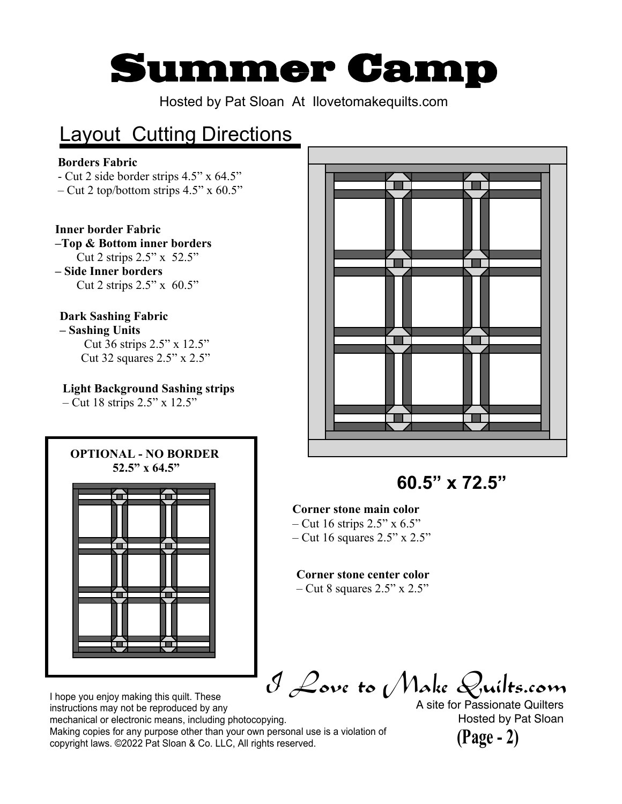# **Summer Camp**

Hosted by Pat Sloan At Ilovetomakequilts.com

# **Layout Cutting Directions**

#### **Borders Fabric**

- Cut 2 side border strips 4.5" x 64.5"
- Cut 2 top/bottom strips  $4.5$ " x  $60.5$ "

#### **Inner border Fabric**

#### **–Top & Bottom inner borders** Cut 2 strips 2.5" x 52.5"

**– Side Inner borders** Cut 2 strips  $2.5"$  x 60.5"

#### **Dark Sashing Fabric**

- **Sashing Units**
	- Cut 36 strips 2.5" x 12.5" Cut 32 squares 2.5" x 2.5"

#### **Light Background Sashing strips**

– Cut 18 strips 2.5" x 12.5"





**60.5" x 72.5"**

#### **Corner stone main color**

- Cut 16 strips  $2.5$ " x 6.5"
- $-$  Cut 16 squares 2.5" x 2.5"

#### **Corner stone center color**

 $-$  Cut 8 squares 2.5" x 2.5"

I Love to Make Quilts.com

A site for Passionate Quilters Hosted by Pat Sloan



I hope you enjoy making this quilt. These instructions may not be reproduced by any mechanical or electronic means, including photocopying. Making copies for any purpose other than your own personal use is a violation of copyright laws. ©2022 Pat Sloan & Co. LLC, All rights reserved.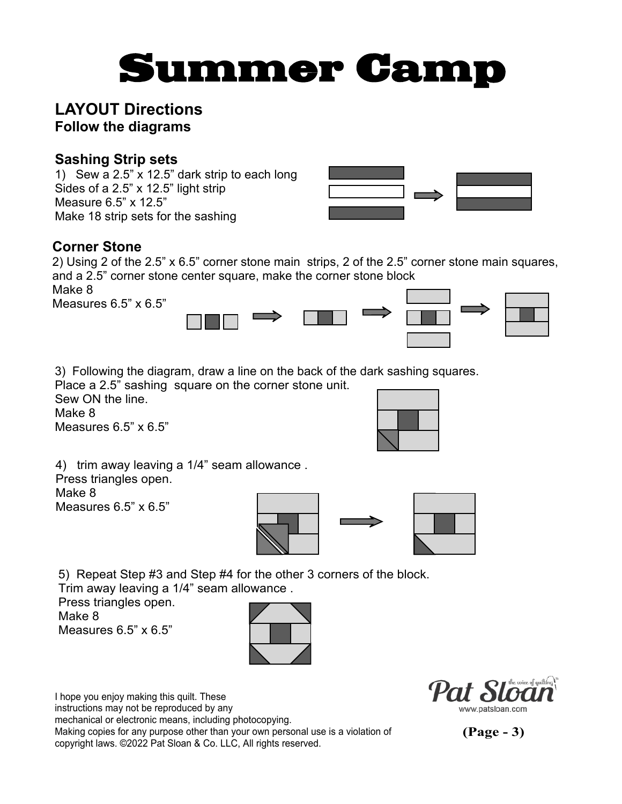# **Summer Camp**

## **LAYOUT Directions Follow the diagrams**

### **Sashing Strip sets**

1) Sew a 2.5" x 12.5" dark strip to each long Sides of a 2.5" x 12.5" light strip Measure 6.5" x 12.5" Make 18 strip sets for the sashing



## **Corner Stone**

2) Using 2 of the 2.5" x 6.5" corner stone main strips, 2 of the 2.5" corner stone main squares, and a 2.5" corner stone center square, make the corner stone block

Make 8 Measures 6.5" x 6.5"



3) Following the diagram, draw a line on the back of the dark sashing squares.

Place a 2.5" sashing square on the corner stone unit. Sew ON the line. Make 8

Measures 6.5" x 6.5"



4) trim away leaving a 1/4" seam allowance . Press triangles open. Make 8 Measures 6.5" x 6.5"



5) Repeat Step #3 and Step #4 for the other 3 corners of the block.

Trim away leaving a 1/4" seam allowance .

Press triangles open. Make 8

Measures 6.5" x 6.5"



I hope you enjoy making this quilt. These instructions may not be reproduced by any mechanical or electronic means, including photocopying. Making copies for any purpose other than your own personal use is a violation of copyright laws. ©2022 Pat Sloan & Co. LLC, All rights reserved.